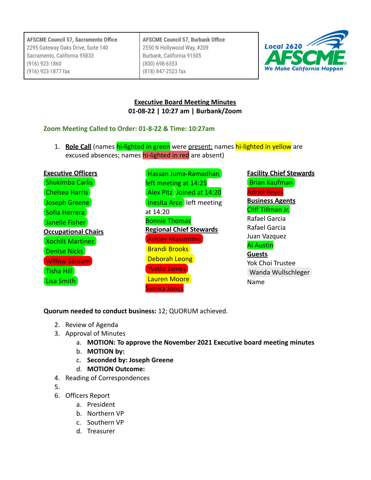**AFSCME Council 57, Burbank Office** 2550 N Hollywood Way, #209 Burbank, California 91505 (800) 698-6553 (818) 847-2523 fax



## **Executive Board Meeting Minutes 01-08-22 | 10:27 am | Burbank/Zoom**

## **Zoom Meeting Called to Order: 01-8-22 & Time: 10:27am**

1. **Role Call** (names hi-lighted in green were present; names hi-lighted in yellow are excused absences; names hi-lighted in red are absent)

| <b>Executive Officers</b>  |  |  |
|----------------------------|--|--|
| Shukimba Carlis            |  |  |
| <b>Chelsea Harris</b>      |  |  |
| <b>Joseph Greene</b>       |  |  |
| Sofia Herrera              |  |  |
| Janelle Fisher             |  |  |
| <b>Occupational Chairs</b> |  |  |
|                            |  |  |
| <b>Xochilt Martinez</b>    |  |  |
| Denise Nicks               |  |  |
| <b>Willow Saloum</b>       |  |  |
| Tisha Hill                 |  |  |

[Hassan Juma-Ramadhan](mailto:hassan.juma-ramadhan@afscmelocal2620.org) left meeting at 14:25 [Alex Pitz](mailto:alex.pitz@afscmelocal2620.org) Joined at 14:20 **[Inesita Arce](mailto:inesita.arce@afscmelocal2620.org)** left meeting at 14:20 Bonnie Thomas **Regional Chief Stewards** [Ashley Massimino](mailto:ashley.massimino@afscmelocal2620.org) [Brandi Brooks](mailto:brandi.brooks@afscmelocal2620.org) [Deborah Leong](mailto:deborah.leong@afscmelocal2620.org) [Yvette James](mailto:yvette.james@afscmelocal2620.org) [Lauren Moore](mailto:lauren.moore@afscmelocal2620.org) Samira Jones

**Facility Chief Stewards** [Brian Kaufman](mailto:bkaufman.afscme2620@gmail.com) Adriel Reyes **Business Agents** Cliff Tillman Jr.

Rafael Garcia Rafael Garcia Juan Vazquez Al Austin

**Guests** Yok Choi Trustee [Wanda Wullschleger](mailto:wandaelainertc@gmail.com) Name

**Quorum needed to conduct business:** 12; QUORUM achieved.

- 2. Review of Agenda
- 3. Approval of Minutes
	- a. **MOTION: To approve the November 2021 Executive board meeting minutes**
	- b. **MOTION by:**
	- c. **Seconded by: Joseph Greene**
	- d. **MOTION Outcome:**
- 4. Reading of Correspondences
- 5.
- 6. Officers Report
	- a. President
	- b. Northern VP
	- c. Southern VP
	- d. Treasurer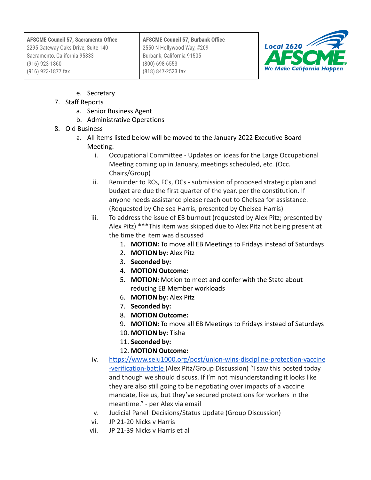**AFSCME Council 57, Burbank Office** 2550 N Hollywood Way, #209 Burbank, California 91505 (800) 698-6553 (818) 847-2523 fax



- e. Secretary
- 7. Staff Reports
	- a. Senior Business Agent
	- b. Administrative Operations
- 8. Old Business
	- a. All items listed below will be moved to the January 2022 Executive Board Meeting:
		- i. Occupational Committee Updates on ideas for the Large Occupational Meeting coming up in January, meetings scheduled, etc. (Occ. Chairs/Group)
		- ii. Reminder to RCs, FCs, OCs submission of proposed strategic plan and budget are due the first quarter of the year, per the constitution. If anyone needs assistance please reach out to Chelsea for assistance. (Requested by Chelsea Harris; presented by Chelsea Harris)
		- iii. To address the issue of EB burnout (requested by Alex Pitz; presented by Alex Pitz) \*\*\*This item was skipped due to Alex Pitz not being present at the time the item was discussed
			- 1. **MOTION:** To move all EB Meetings to Fridays instead of Saturdays
			- 2. **MOTION by:** Alex Pitz
			- 3. **Seconded by:**
			- 4. **MOTION Outcome:**
			- 5. **MOTION:** Motion to meet and confer with the State about reducing EB Member workloads
			- 6. **MOTION by:** Alex Pitz
			- 7. **Seconded by:**
			- 8. **MOTION Outcome:**
			- 9. **MOTION:** To move all EB Meetings to Fridays instead of Saturdays
			- 10. **MOTION by:** Tisha
			- 11. **Seconded by:**
			- 12. **MOTION Outcome:**
		- iv. [https://www.seiu1000.org/post/union-wins-discipline-protection-vaccine](https://www.seiu1000.org/post/union-wins-discipline-protection-vaccine-verification-battle) [-verification-battle](https://www.seiu1000.org/post/union-wins-discipline-protection-vaccine-verification-battle) (Alex Pitz/Group Discussion) "I saw this posted today and though we should discuss. If I'm not misunderstanding it looks like they are also still going to be negotiating over impacts of a vaccine mandate, like us, but they've secured protections for workers in the meantime." - per Alex via email
		- v. Judicial Panel Decisions/Status Update (Group Discussion)
		- vi. JP 21-20 Nicks v Harris
		- vii. JP 21-39 Nicks v Harris et al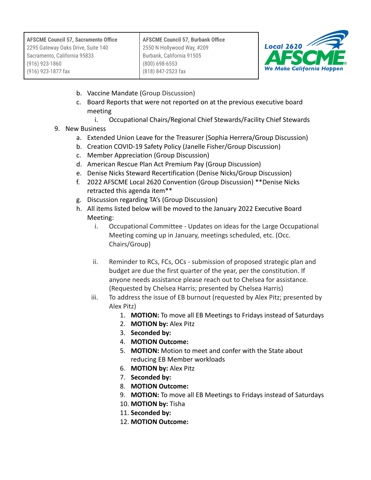| <b>AFSCME Council 57, Sacramento Office</b>                        | <b>AFSCME Council 57, Burbank Office</b>                | $\frac{1}{2620}$                 |
|--------------------------------------------------------------------|---------------------------------------------------------|----------------------------------|
| 2295 Gateway Oaks Drive, Suite 140<br>Sacramento, California 95833 | 2550 N Hollywood Way, #209<br>Burbank, California 91505 | <b>AFSCME</b>                    |
| $(916)$ 923-1860                                                   | $(800)$ 698-6553                                        |                                  |
| (916) 923-1877 fax                                                 | (818) 847-2523 fax                                      | <b>We Make California Happen</b> |

- b. Vaccine Mandate (Group Discussion)
- c. Board Reports that were not reported on at the previous executive board meeting
	- i. Occupational Chairs/Regional Chief Stewards/Facility Chief Stewards
- 9. New Business
	- a. Extended Union Leave for the Treasurer (Sophia Herrera/Group Discussion)
	- b. Creation COVID-19 Safety Policy (Janelle Fisher/Group Discussion)
	- c. Member Appreciation (Group Discussion)
	- d. American Rescue Plan Act Premium Pay (Group Discussion)
	- e. Denise Nicks Steward Recertification (Denise Nicks/Group Discussion)
	- f. 2022 AFSCME Local 2620 Convention (Group Discussion) \*\*Denise Nicks retracted this agenda item\*\*
	- g. Discussion regarding TA's (Group Discussion)
	- h. All items listed below will be moved to the January 2022 Executive Board Meeting:
		- i. Occupational Committee Updates on ideas for the Large Occupational Meeting coming up in January, meetings scheduled, etc. (Occ. Chairs/Group)
		- ii. Reminder to RCs, FCs, OCs submission of proposed strategic plan and budget are due the first quarter of the year, per the constitution. If anyone needs assistance please reach out to Chelsea for assistance. (Requested by Chelsea Harris; presented by Chelsea Harris)
		- iii. To address the issue of EB burnout (requested by Alex Pitz; presented by Alex Pitz)
			- 1. **MOTION:** To move all EB Meetings to Fridays instead of Saturdays
			- 2. **MOTION by:** Alex Pitz
			- 3. **Seconded by:**
			- 4. **MOTION Outcome:**
			- 5. **MOTION:** Motion to meet and confer with the State about reducing EB Member workloads
			- 6. **MOTION by:** Alex Pitz
			- 7. **Seconded by:**
			- 8. **MOTION Outcome:**
			- 9. **MOTION:** To move all EB Meetings to Fridays instead of Saturdays
			- 10. **MOTION by:** Tisha
			- 11. **Seconded by:**
			- 12. **MOTION Outcome:**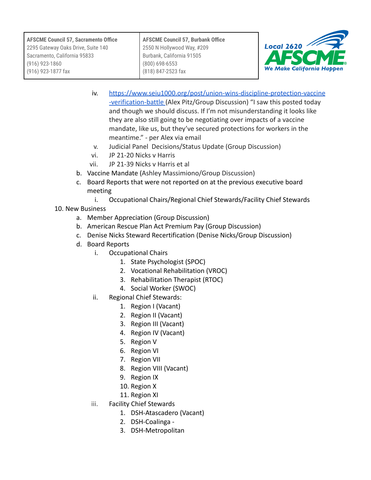**AFSCME Council 57, Burbank Office** 2550 N Hollywood Way, #209 Burbank, California 91505 (800) 698-6553 (818) 847-2523 fax



- iv. [https://www.seiu1000.org/post/union-wins-discipline-protection-vaccine](https://www.seiu1000.org/post/union-wins-discipline-protection-vaccine-verification-battle) [-verification-battle](https://www.seiu1000.org/post/union-wins-discipline-protection-vaccine-verification-battle) (Alex Pitz/Group Discussion) "I saw this posted today and though we should discuss. If I'm not misunderstanding it looks like they are also still going to be negotiating over impacts of a vaccine mandate, like us, but they've secured protections for workers in the meantime." - per Alex via email
- v. Judicial Panel Decisions/Status Update (Group Discussion)
- vi. JP 21-20 Nicks v Harris
- vii. JP 21-39 Nicks v Harris et al
- b. Vaccine Mandate (Ashley Massimiono/Group Discussion)
- c. Board Reports that were not reported on at the previous executive board meeting
	- i. Occupational Chairs/Regional Chief Stewards/Facility Chief Stewards
- 10. New Business
	- a. Member Appreciation (Group Discussion)
	- b. American Rescue Plan Act Premium Pay (Group Discussion)
	- c. Denise Nicks Steward Recertification (Denise Nicks/Group Discussion)
	- d. Board Reports
		- i. Occupational Chairs
			- 1. State Psychologist (SPOC)
			- 2. Vocational Rehabilitation (VROC)
			- 3. Rehabilitation Therapist (RTOC)
			- 4. Social Worker (SWOC)
		- ii. Regional Chief Stewards:
			- 1. Region I (Vacant)
			- 2. Region II (Vacant)
			- 3. Region III (Vacant)
			- 4. Region IV (Vacant)
			- 5. Region V
			- 6. Region VI
			- 7. Region VII
			- 8. Region VIII (Vacant)
			- 9. Region IX
			- 10. Region X
			- 11. Region XI
		- iii. Facility Chief Stewards
			- 1. DSH-Atascadero (Vacant)
			- 2. DSH-Coalinga -
			- 3. DSH-Metropolitan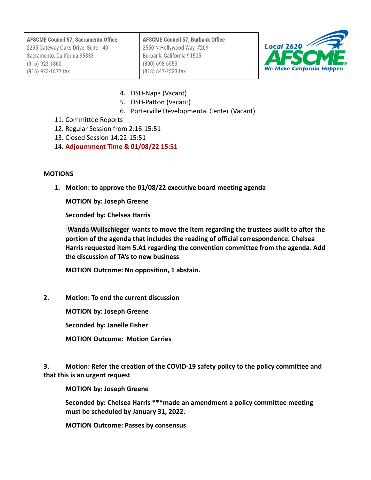**AFSCME Council 57, Sacramento Office** 2295 Gateway Oaks Drive, Suite 140 Sacramento, California 95833 (916) 923-1860 (916) 923-1877 fax **AFSCME Council 57, Burbank Office** 2550 N Hollywood Way, #209 Burbank, California 91505 (800) 698-6553 (818) 847-2523 fax



- 4. DSH-Napa (Vacant)
- 5. DSH-Patton (Vacant)
- 6. Porterville Developmental Center (Vacant)
- 11. Committee Reports
- 12. Regular Session from 2:16-15:51
- 13. Closed Session 14:22-15:51
- 14. **Adjournment Time & 01/08/22 15:51**

## **MOTIONS**

**1. Motion: to approve the 01/08/22 executive board meeting agenda**

**MOTION by: Joseph Greene**

**Seconded by: Chelsea Harris**

**[Wanda Wullschleger](mailto:wandaelainertc@gmail.com) wants to move the item regarding the trustees audit to after the portion of the agenda that includes the reading of official correspondence. Chelsea Harris requested item 5.A1 regarding the convention committee from the agenda. Add the discussion of TA's to new business**

**MOTION Outcome: No opposition, 1 abstain.**

**2. Motion: To end the current discussion**

**MOTION by: Joseph Greene**

**Seconded by: Janelle Fisher**

**MOTION Outcome: Motion Carries**

**3. Motion: Refer the creation of the COVID-19 safety policy to the policy committee and that this is an urgent request**

**MOTION by: Joseph Greene**

**Seconded by: Chelsea Harris \*\*\*made an amendment a policy committee meeting must be scheduled by January 31, 2022.**

**MOTION Outcome: Passes by consensus**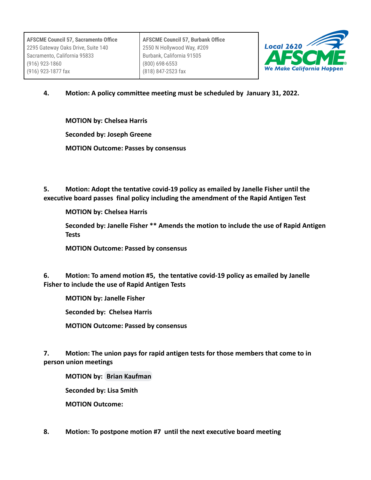**AFSCME Council 57, Burbank Office** 2550 N Hollywood Way, #209 Burbank, California 91505 (800) 698-6553 (818) 847-2523 fax



**4. Motion: A policy committee meeting must be scheduled by January 31, 2022.**

**MOTION by: Chelsea Harris Seconded by: Joseph Greene MOTION Outcome: Passes by consensus**

**5. Motion: Adopt the tentative covid-19 policy as emailed by Janelle Fisher until the executive board passes final policy including the amendment of the Rapid Antigen Test**

**MOTION by: Chelsea Harris**

**Seconded by: Janelle Fisher \*\* Amends the motion to include the use of Rapid Antigen Tests**

**MOTION Outcome: Passed by consensus**

**6. Motion: To amend motion #5, the tentative covid-19 policy as emailed by Janelle Fisher to include the use of Rapid Antigen Tests**

**MOTION by: Janelle Fisher**

**Seconded by: Chelsea Harris**

**MOTION Outcome: Passed by consensus**

**7. Motion: The union pays for rapid antigen tests for those members that come to in person union meetings**

**MOTION by: [Brian Kaufman](mailto:brian.kaufman@afscmelocal2620.org)**

**Seconded by: Lisa Smith**

**MOTION Outcome:**

**8. Motion: To postpone motion #7 until the next executive board meeting**